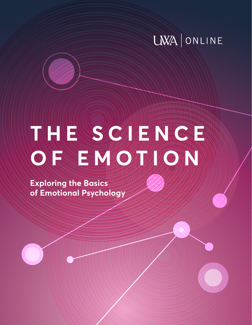# **LWA ONLINE**

# **THE SCIENCE OF EMOTION**

**Exploring the Basics of Emotional Psychology**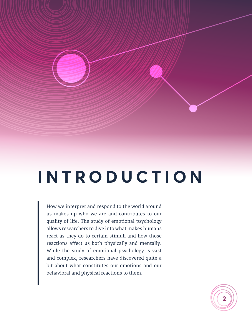# **I N T R O D U C T I O N**

How we interpret and respond to the world around us makes up who we are and contributes to our quality of life. The study of emotional psychology allows researchers to dive into what makes humans react as they do to certain stimuli and how those reactions affect us both physically and mentally. While the study of emotional psychology is vast and complex, researchers have discovered quite a bit about what constitutes our emotions and our behavioral and physical reactions to them.

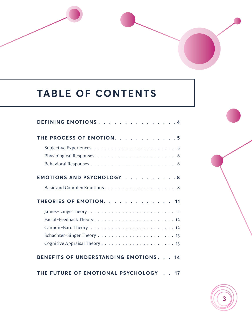# **TABLE OF CONTENTS**

| DEFINING EMOTIONS. 4                 |
|--------------------------------------|
| THE PROCESS OF EMOTION. 5            |
|                                      |
| EMOTIONS AND PSYCHOLOGY 8            |
|                                      |
| THEORIES OF EMOTION. 11              |
|                                      |
|                                      |
|                                      |
|                                      |
|                                      |
| ENEFITS OF UNDERSTANDING EMOTIONS 14 |

THE FUTURE OF EMOTIONAL PSYCHOLOGY . . 17

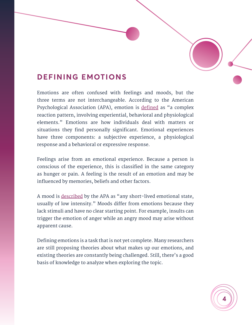## <span id="page-3-0"></span>**DEFINING EMOTIONS**

Emotions are often confused with feelings and moods, but the three terms are not interchangeable. According to the American Psychological Association (APA), emotion is [defined](https://dictionary.apa.org/emotion) as "a complex reaction pattern, involving experiential, behavioral and physiological elements." Emotions are how individuals deal with matters or situations they find personally significant. Emotional experiences have three components: a subjective experience, a physiological response and a behavioral or expressive response.

Feelings arise from an emotional experience. Because a person is conscious of the experience, this is classified in the same category as hunger or pain. A feeling is the result of an emotion and may be influenced by memories, beliefs and other factors.

A mood is [described](https://dictionary.apa.org/mood) by the APA as "any short-lived emotional state, usually of low intensity." Moods differ from emotions because they lack stimuli and have no clear starting point. For example, insults can trigger the emotion of anger while an angry mood may arise without apparent cause.

Defining emotions is a task that is not yet complete. Many researchers are still proposing theories about what makes up our emotions, and existing theories are constantly being challenged. Still, there's a good basis of knowledge to analyze when exploring the topic.

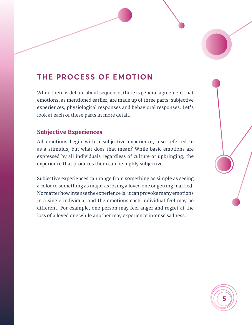# <span id="page-4-0"></span>**THE PROCESS OF EMOTION**

While there is debate about sequence, there is general agreement that emotions, as mentioned earlier, are made up of three parts: subjective experiences, physiological responses and behavioral responses. Let's look at each of these parts in more detail.

#### Subjective Experiences

All emotions begin with a subjective experience, also referred to as a stimulus, but what does that mean? While basic emotions are expressed by all individuals regardless of culture or upbringing, the experience that produces them can he highly subjective.

Subjective experiences can range from something as simple as seeing a color to something as major as losing a loved one or getting married. No matter how intense the experience is, it can provoke many emotions in a single individual and the emotions each individual feel may be different. For example, one person may feel anger and regret at the loss of a loved one while another may experience intense sadness.

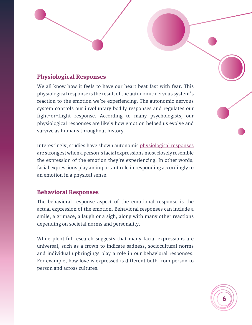#### <span id="page-5-0"></span>Physiological Responses

We all know how it feels to have our heart beat fast with fear. This physiological response is the result of the autonomic nervous system's reaction to the emotion we're experiencing. The autonomic nervous system controls our involuntary bodily responses and regulates our fight-or-flight response. According to many psychologists, our physiological responses are likely how emotion helped us evolve and survive as humans throughout history.

Interestingly, studies have shown autonomic [physiological responses](https://www.ncbi.nlm.nih.gov/books/NBK10829/) are strongest when a person's facial expressions most closely resemble the expression of the emotion they're experiencing. In other words, facial expressions play an important role in responding accordingly to an emotion in a physical sense.

#### Behavioral Responses

The behavioral response aspect of the emotional response is the actual expression of the emotion. Behavioral responses can include a smile, a grimace, a laugh or a sigh, along with many other reactions depending on societal norms and personality.

While plentiful research suggests that many facial expressions are universal, such as a frown to indicate sadness, sociocultural norms and individual upbringings play a role in our behavioral responses. For example, how love is expressed is different both from person to person and across cultures.

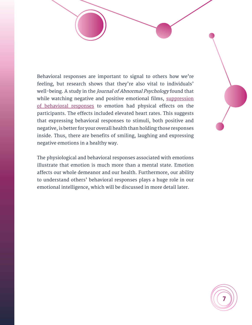Behavioral responses are important to signal to others how we're feeling, but research shows that they're also vital to individuals' well-being. A study in the *Journal of Abnormal Psychology* found that while watching negative and positive emotional films, suppression [of behavioral responses](https://psycnet.apa.org/doiLanding?doi=10.1037%2F0021-843X.106.1.95) to emotion had physical effects on the participants. The effects included elevated heart rates. This suggests that expressing behavioral responses to stimuli, both positive and negative, is better for your overall health than holding those responses inside. Thus, there are benefits of smiling, laughing and expressing negative emotions in a healthy way.

The physiological and behavioral responses associated with emotions illustrate that emotion is much more than a mental state. Emotion affects our whole demeanor and our health. Furthermore, our ability to understand others' behavioral responses plays a huge role in our emotional intelligence, which will be discussed in more detail later.

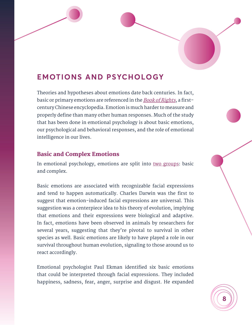# <span id="page-7-0"></span>**EMOTIONS AND PSYCHOLOGY**

Theories and hypotheses about emotions date back centuries. In fact, basic or primary emotions are referenced in the **[Book of Rights](https://www.researchgate.net/publication/267228910_What_are_emotions_in_Chinese_Confucianism)**, a firstcentury Chinese encyclopedia. Emotion is much harder to measure and properly define than many other human responses. Much of the study that has been done in emotional psychology is about basic emotions, our psychological and behavioral responses, and the role of emotional intelligence in our lives.

#### Basic and Complex Emotions

In emotional psychology, emotions are split into [two groups:](https://www.psychologytoday.com/us/blog/the-superhuman-mind/201806/basic-and-complex-emotions) basic and complex.

Basic emotions are associated with recognizable facial expressions and tend to happen automatically. Charles Darwin was the first to suggest that emotion-induced facial expressions are universal. This suggestion was a centerpiece idea to his theory of evolution, implying that emotions and their expressions were biological and adaptive. In fact, emotions have been observed in animals by researchers for several years, suggesting that they're pivotal to survival in other species as well. Basic emotions are likely to have played a role in our survival throughout human evolution, signaling to those around us to react accordingly.

Emotional psychologist Paul Ekman identified six basic emotions that could be interpreted through facial expressions. They included happiness, sadness, fear, anger, surprise and disgust. He expanded

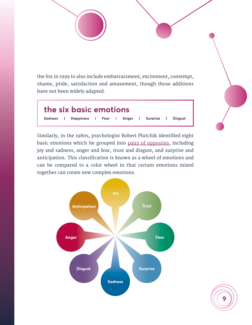the list in 1999 to also include embarrassment, excitement, contempt, shame, pride, satisfaction and amusement, though those additions have not been widely adapted.



Similarly, in the 1980s, psychologist Robert Plutchik identified eight basic emotions which he grouped into [pairs of opposites,](https://www.psychologytoday.com/us/blog/hide-and-seek/201601/what-are-basic-emotions) including joy and sadness, anger and fear, trust and disgust, and surprise and anticipation. This classification is known as a wheel of emotions and can be compared to a color wheel in that certain emotions mixed together can create new complex emotions.



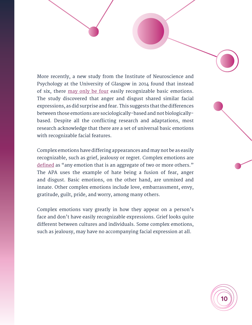More recently, a new study from the Institute of Neuroscience and Psychology at the University of Glasgow in 2014 found that instead of six, there [may only be four](https://www.theatlantic.com/health/archive/2014/02/new-research-says-there-are-only-four-emotions/283560/) easily recognizable basic emotions. The study discovered that anger and disgust shared similar facial expressions, as did surprise and fear. This suggests that the differences between those emotions are sociologically-based and not biologicallybased. Despite all the conflicting research and adaptations, most research acknowledge that there are a set of universal basic emotions with recognizable facial features.

Complex emotions have differing appearances and may not be as easily recognizable, such as grief, jealousy or regret. Complex emotions are [defined](https://dictionary.apa.org/complex-emotion) as "any emotion that is an aggregate of two or more others." The APA uses the example of hate being a fusion of fear, anger and disgust. Basic emotions, on the other hand, are unmixed and innate. Other complex emotions include love, embarrassment, envy, gratitude, guilt, pride, and worry, among many others.

Complex emotions vary greatly in how they appear on a person's face and don't have easily recognizable expressions. Grief looks quite different between cultures and individuals. Some complex emotions, such as jealousy, may have no accompanying facial expression at all.

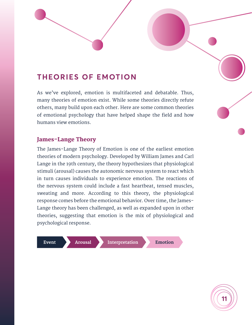## <span id="page-10-0"></span>**THEORIES OF EMOTION**

As we've explored, emotion is multifaceted and debatable. Thus, many theories of emotion exist. While some theories directly refute others, many build upon each other. Here are some common theories of emotional psychology that have helped shape the field and how humans view emotions.

#### James-Lange Theory

The James-Lange Theory of Emotion is one of the earliest emotion theories of modern psychology. Developed by William James and Carl Lange in the 19th century, the theory hypothesizes that physiological stimuli (arousal) causes the autonomic nervous system to react which in turn causes individuals to experience emotion. The reactions of the nervous system could include a fast heartbeat, tensed muscles, sweating and more. According to this theory, the physiological response comes before the emotional behavior. Over time, the James-Lange theory has been challenged, as well as expanded upon in other theories, suggesting that emotion is the mix of physiological and psychological response.

Event

**Arousal** 

Interpretation

**Emotion** 

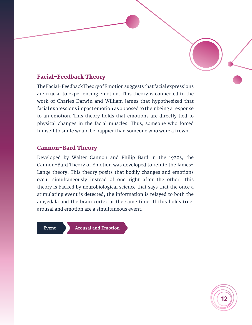#### <span id="page-11-0"></span>Facial-Feedback Theory

The Facial-Feedback Theory of Emotion suggests that facial expressions are crucial to experiencing emotion. This theory is connected to the work of Charles Darwin and William James that hypothesized that facial expressions impact emotion as opposed to their being a response to an emotion. This theory holds that emotions are directly tied to physical changes in the facial muscles. Thus, someone who forced himself to smile would be happier than someone who wore a frown.

#### Cannon-Bard Theory

Developed by Walter Cannon and Philip Bard in the 1920s, the Cannon-Bard Theory of Emotion was developed to refute the James-Lange theory. This theory posits that bodily changes and emotions occur simultaneously instead of one right after the other. This theory is backed by neurobiological science that says that the once a stimulating event is detected, the information is relayed to both the amygdala and the brain cortex at the same time. If this holds true, arousal and emotion are a simultaneous event.

Event

**Arousal and Emotion** 

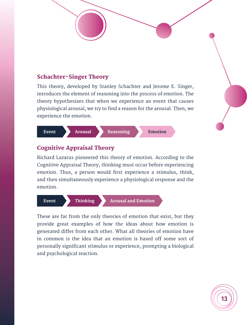#### <span id="page-12-0"></span>Schachter-Singer Theory

This theory, developed by Stanley Schachter and Jerome E. Singer, introduces the element of reasoning into the process of emotion. The theory hypothesizes that when we experience an event that causes physiological arousal, we try to find a reason for the arousal. Then, we experience the emotion.



#### Cognitive Appraisal Theory

Richard Lazarus pioneered this theory of emotion. According to the Cognitive Appraisal Theory, thinking must occur before experiencing emotion. Thus, a person would first experience a stimulus, think, and then simultaneously experience a physiological response and the emotion.



These are far from the only theories of emotion that exist, but they provide great examples of how the ideas about how emotion is generated differ from each other. What all theories of emotion have in common is the idea that an emotion is based off some sort of personally significant stimulus or experience, prompting a biological and psychological reaction.

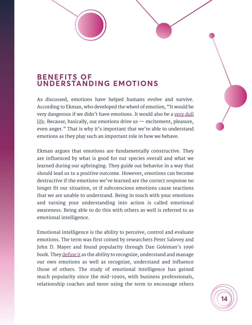### <span id="page-13-0"></span>**BENEFITS OF UNDERSTANDING EMOTIONS**

As discussed, emotions have helped humans evolve and survive. According to Ekman, who developed the wheel of emotion, "It would be very dangerous if we didn't have emotions. It would also be a very dull [life.](https://www.psychologytoday.com/us/blog/between-cultures/201801/the-benefits-emotional-awareness) Because, basically, our emotions drive us  $-$  excitement, pleasure, even anger." That is why it's important that we're able to understand emotions as they play such an important role in how we behave.

Ekman argues that emotions are fundamentally constructive. They are influenced by what is good for our species overall and what we learned during our upbringing. They guide our behavior in a way that should lead us to a positive outcome. However, emotions can become destructive if the emotions we've learned are the correct response no longer fit our situation, or if subconscious emotions cause reactions that we are unable to understand. Being in touch with your emotions and turning your understanding into action is called emotional awareness. Being able to do this with others as well is referred to as emotional intelligence.

Emotional intelligence is the ability to perceive, control and evaluate emotions. The term was first coined by researchers Peter Salovey and John D. Mayer and found popularity through Dan Goleman's 1996 book. They *[define it](https://www.ihhp.com/meaning-of-emotional-intelligence)* as the ability to recognize, understand and manage our own emotions as well as recognize, understand and influence those of others. The study of emotional intelligence has gained much popularity since the mid-1990s, with business professionals, relationship coaches and more using the term to encourage others

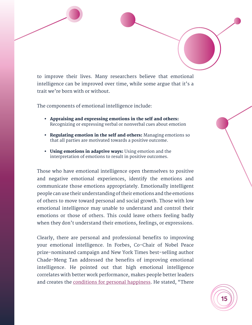to improve their lives. Many researchers believe that emotional intelligence can be improved over time, while some argue that it's a trait we're born with or without.

The components of emotional intelligence include:

- Appraising and expressing emotions in the self and others: Recognizing or expressing verbal or nonverbal cues about emotion
- Regulating emotion in the self and others: Managing emotions so that all parties are motivated towards a positive outcome.
- Using emotions in adaptive ways: Using emotion and the interpretation of emotions to result in positive outcomes.

Those who have emotional intelligence open themselves to positive and negative emotional experiences, identify the emotions and communicate those emotions appropriately. Emotionally intelligent people can use their understanding of their emotions and the emotions of others to move toward personal and social growth. Those with low emotional intelligence may unable to understand and control their emotions or those of others. This could leave others feeling badly when they don't understand their emotions, feelings, or expressions.

Clearly, there are personal and professional benefits to improving your emotional intelligence. In Forbes, Co-Chair of Nobel Peace prize-nominated campaign and New York Times best-selling author Chade-Meng Tan addressed the benefits of improving emotional intelligence. He pointed out that high emotional intelligence correlates with better work performance, makes people better leaders and creates the [conditions for personal happiness.](https://www.forbes.com/sites/quora/2016/05/25/the-personal-and-professional-benefits-of-improving-your-emotional-intelligence/#109efaad633e) He stated, "There

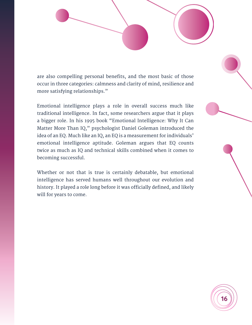are also compelling personal benefits, and the most basic of those occur in three categories: calmness and clarity of mind, resilience and more satisfying relationships."

Emotional intelligence plays a role in overall success much like traditional intelligence. In fact, some researchers argue that it plays a bigger role. In his 1995 book "Emotional Intelligence: Why It Can Matter More Than IQ," psychologist Daniel Goleman introduced the idea of an EQ. Much like an IQ, an EQ is a measurement for individuals' emotional intelligence aptitude. Goleman argues that EQ counts twice as much as IQ and technical skills combined when it comes to becoming successful.

Whether or not that is true is certainly debatable, but emotional intelligence has served humans well throughout our evolution and history. It played a role long before it was officially defined, and likely will for years to come.